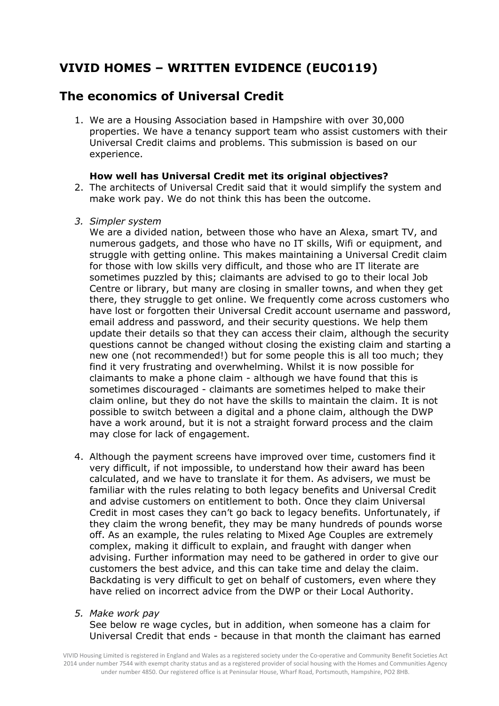# **VIVID HOMES – WRITTEN EVIDENCE (EUC0119)**

## **The economics of Universal Credit**

1. We are a Housing Association based in Hampshire with over 30,000 properties. We have a tenancy support team who assist customers with their Universal Credit claims and problems. This submission is based on our experience.

## **How well has Universal Credit met its original objectives?**

- 2. The architects of Universal Credit said that it would simplify the system and make work pay. We do not think this has been the outcome.
- *3. Simpler system*

We are a divided nation, between those who have an Alexa, smart TV, and numerous gadgets, and those who have no IT skills, Wifi or equipment, and struggle with getting online. This makes maintaining a Universal Credit claim for those with low skills very difficult, and those who are IT literate are sometimes puzzled by this; claimants are advised to go to their local Job Centre or library, but many are closing in smaller towns, and when they get there, they struggle to get online. We frequently come across customers who have lost or forgotten their Universal Credit account username and password, email address and password, and their security questions. We help them update their details so that they can access their claim, although the security questions cannot be changed without closing the existing claim and starting a new one (not recommended!) but for some people this is all too much; they find it very frustrating and overwhelming. Whilst it is now possible for claimants to make a phone claim - although we have found that this is sometimes discouraged - claimants are sometimes helped to make their claim online, but they do not have the skills to maintain the claim. It is not possible to switch between a digital and a phone claim, although the DWP have a work around, but it is not a straight forward process and the claim may close for lack of engagement.

- 4. Although the payment screens have improved over time, customers find it very difficult, if not impossible, to understand how their award has been calculated, and we have to translate it for them. As advisers, we must be familiar with the rules relating to both legacy benefits and Universal Credit and advise customers on entitlement to both. Once they claim Universal Credit in most cases they can't go back to legacy benefits. Unfortunately, if they claim the wrong benefit, they may be many hundreds of pounds worse off. As an example, the rules relating to Mixed Age Couples are extremely complex, making it difficult to explain, and fraught with danger when advising. Further information may need to be gathered in order to give our customers the best advice, and this can take time and delay the claim. Backdating is very difficult to get on behalf of customers, even where they have relied on incorrect advice from the DWP or their Local Authority.
- *5. Make work pay*

See below re wage cycles, but in addition, when someone has a claim for Universal Credit that ends - because in that month the claimant has earned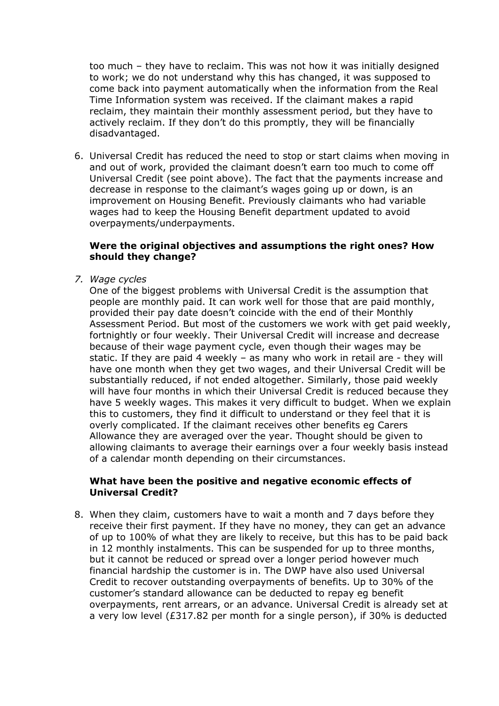too much – they have to reclaim. This was not how it was initially designed to work; we do not understand why this has changed, it was supposed to come back into payment automatically when the information from the Real Time Information system was received. If the claimant makes a rapid reclaim, they maintain their monthly assessment period, but they have to actively reclaim. If they don't do this promptly, they will be financially disadvantaged.

6. Universal Credit has reduced the need to stop or start claims when moving in and out of work, provided the claimant doesn't earn too much to come off Universal Credit (see point above). The fact that the payments increase and decrease in response to the claimant's wages going up or down, is an improvement on Housing Benefit. Previously claimants who had variable wages had to keep the Housing Benefit department updated to avoid overpayments/underpayments.

## **Were the original objectives and assumptions the right ones? How should they change?**

*7. Wage cycles*

One of the biggest problems with Universal Credit is the assumption that people are monthly paid. It can work well for those that are paid monthly, provided their pay date doesn't coincide with the end of their Monthly Assessment Period. But most of the customers we work with get paid weekly, fortnightly or four weekly. Their Universal Credit will increase and decrease because of their wage payment cycle, even though their wages may be static. If they are paid 4 weekly – as many who work in retail are - they will have one month when they get two wages, and their Universal Credit will be substantially reduced, if not ended altogether. Similarly, those paid weekly will have four months in which their Universal Credit is reduced because they have 5 weekly wages. This makes it very difficult to budget. When we explain this to customers, they find it difficult to understand or they feel that it is overly complicated. If the claimant receives other benefits eg Carers Allowance they are averaged over the year. Thought should be given to allowing claimants to average their earnings over a four weekly basis instead of a calendar month depending on their circumstances.

## **What have been the positive and negative economic effects of Universal Credit?**

8. When they claim, customers have to wait a month and 7 days before they receive their first payment. If they have no money, they can get an advance of up to 100% of what they are likely to receive, but this has to be paid back in 12 monthly instalments. This can be suspended for up to three months, but it cannot be reduced or spread over a longer period however much financial hardship the customer is in. The DWP have also used Universal Credit to recover outstanding overpayments of benefits. Up to 30% of the customer's standard allowance can be deducted to repay eg benefit overpayments, rent arrears, or an advance. Universal Credit is already set at a very low level (£317.82 per month for a single person), if 30% is deducted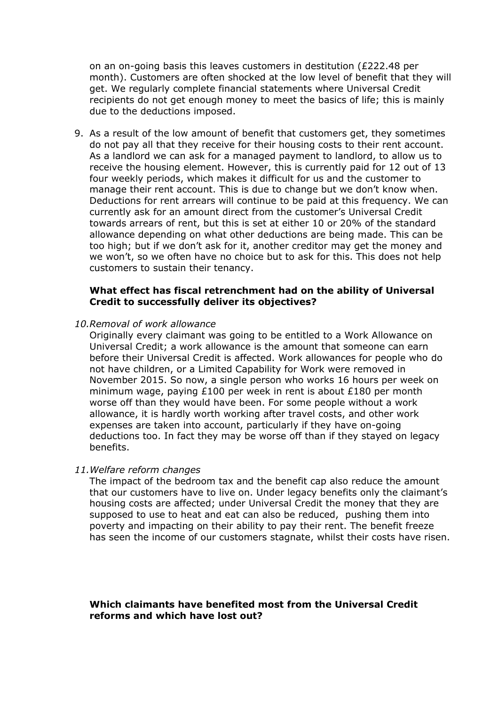on an on-going basis this leaves customers in destitution (£222.48 per month). Customers are often shocked at the low level of benefit that they will get. We regularly complete financial statements where Universal Credit recipients do not get enough money to meet the basics of life; this is mainly due to the deductions imposed.

9. As a result of the low amount of benefit that customers get, they sometimes do not pay all that they receive for their housing costs to their rent account. As a landlord we can ask for a managed payment to landlord, to allow us to receive the housing element. However, this is currently paid for 12 out of 13 four weekly periods, which makes it difficult for us and the customer to manage their rent account. This is due to change but we don't know when. Deductions for rent arrears will continue to be paid at this frequency. We can currently ask for an amount direct from the customer's Universal Credit towards arrears of rent, but this is set at either 10 or 20% of the standard allowance depending on what other deductions are being made. This can be too high; but if we don't ask for it, another creditor may get the money and we won't, so we often have no choice but to ask for this. This does not help customers to sustain their tenancy.

## **What effect has fiscal retrenchment had on the ability of Universal Credit to successfully deliver its objectives?**

*10.Removal of work allowance*

Originally every claimant was going to be entitled to a Work Allowance on Universal Credit; a work allowance is the amount that someone can earn before their Universal Credit is affected. Work allowances for people who do not have children, or a Limited Capability for Work were removed in November 2015. So now, a single person who works 16 hours per week on minimum wage, paying £100 per week in rent is about £180 per month worse off than they would have been. For some people without a work allowance, it is hardly worth working after travel costs, and other work expenses are taken into account, particularly if they have on-going deductions too. In fact they may be worse off than if they stayed on legacy benefits.

#### *11.Welfare reform changes*

The impact of the bedroom tax and the benefit cap also reduce the amount that our customers have to live on. Under legacy benefits only the claimant's housing costs are affected; under Universal Credit the money that they are supposed to use to heat and eat can also be reduced, pushing them into poverty and impacting on their ability to pay their rent. The benefit freeze has seen the income of our customers stagnate, whilst their costs have risen.

## **Which claimants have benefited most from the Universal Credit reforms and which have lost out?**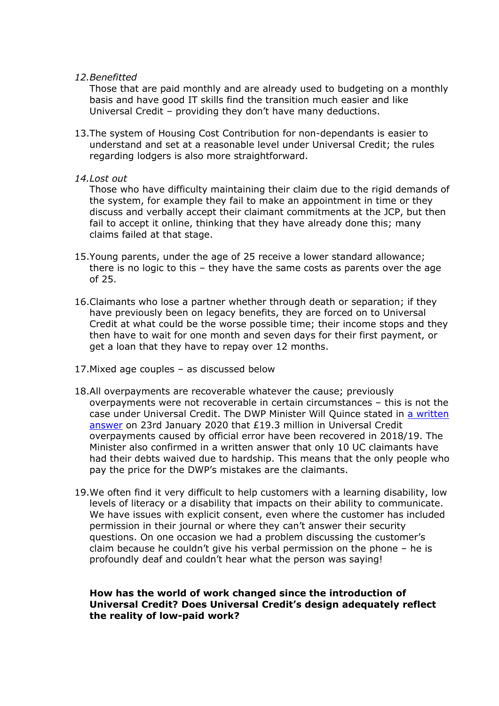### *12.Benefitted*

Those that are paid monthly and are already used to budgeting on a monthly basis and have good IT skills find the transition much easier and like Universal Credit – providing they don't have many deductions.

13.The system of Housing Cost Contribution for non-dependants is easier to understand and set at a reasonable level under Universal Credit; the rules regarding lodgers is also more straightforward.

## *14.Lost out*

Those who have difficulty maintaining their claim due to the rigid demands of the system, for example they fail to make an appointment in time or they discuss and verbally accept their claimant commitments at the JCP, but then fail to accept it online, thinking that they have already done this; many claims failed at that stage.

- 15.Young parents, under the age of 25 receive a lower standard allowance; there is no logic to this – they have the same costs as parents over the age of 25.
- 16.Claimants who lose a partner whether through death or separation; if they have previously been on legacy benefits, they are forced on to Universal Credit at what could be the worse possible time; their income stops and they then have to wait for one month and seven days for their first payment, or get a loan that they have to repay over 12 months.
- 17.Mixed age couples as discussed below
- 18.All overpayments are recoverable whatever the cause; previously overpayments were not recoverable in certain circumstances – this is not the case under Universal Credit. The DWP Minister Will Quince stated in [a](https://protect-eu.mimecast.com/s/c7ylCKOoXS2VRMLtMWHoa?domain=citizensadvice.us9.list-manage.com) [written](https://protect-eu.mimecast.com/s/c7ylCKOoXS2VRMLtMWHoa?domain=citizensadvice.us9.list-manage.com) [answer](https://protect-eu.mimecast.com/s/c7ylCKOoXS2VRMLtMWHoa?domain=citizensadvice.us9.list-manage.com) on 23rd January 2020 that £19.3 million in Universal Credit overpayments caused by official error have been recovered in 2018/19. The Minister also confirmed in a written answer that only 10 UC claimants have had their debts waived due to hardship. This means that the only people who pay the price for the DWP's mistakes are the claimants.
- 19.We often find it very difficult to help customers with a learning disability, low levels of literacy or a disability that impacts on their ability to communicate. We have issues with explicit consent, even where the customer has included permission in their journal or where they can't answer their security questions. On one occasion we had a problem discussing the customer's claim because he couldn't give his verbal permission on the phone – he is profoundly deaf and couldn't hear what the person was saying!

## **How has the world of work changed since the introduction of Universal Credit? Does Universal Credit's design adequately reflect the reality of low-paid work?**